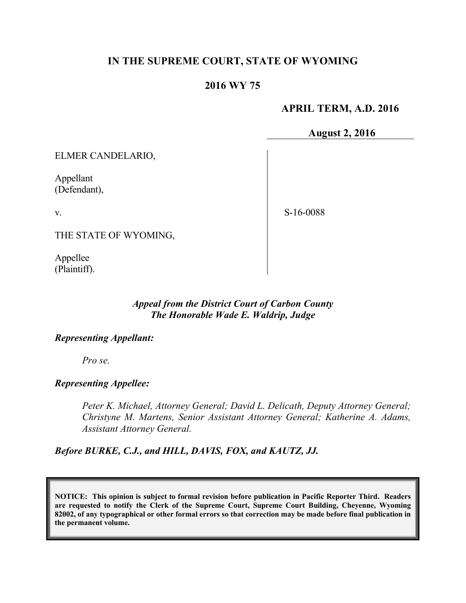## **IN THE SUPREME COURT, STATE OF WYOMING**

# **2016 WY 75**

## **APRIL TERM, A.D. 2016**

**August 2, 2016**

ELMER CANDELARIO,

Appellant (Defendant),

v.

S-16-0088

THE STATE OF WYOMING,

Appellee (Plaintiff).

#### *Appeal from the District Court of Carbon County The Honorable Wade E. Waldrip, Judge*

#### *Representing Appellant:*

*Pro se.*

*Representing Appellee:*

*Peter K. Michael, Attorney General; David L. Delicath, Deputy Attorney General; Christyne M. Martens, Senior Assistant Attorney General; Katherine A. Adams, Assistant Attorney General.*

*Before BURKE, C.J., and HILL, DAVIS, FOX, and KAUTZ, JJ.*

**NOTICE: This opinion is subject to formal revision before publication in Pacific Reporter Third. Readers are requested to notify the Clerk of the Supreme Court, Supreme Court Building, Cheyenne, Wyoming 82002, of any typographical or other formal errors so that correction may be made before final publication in the permanent volume.**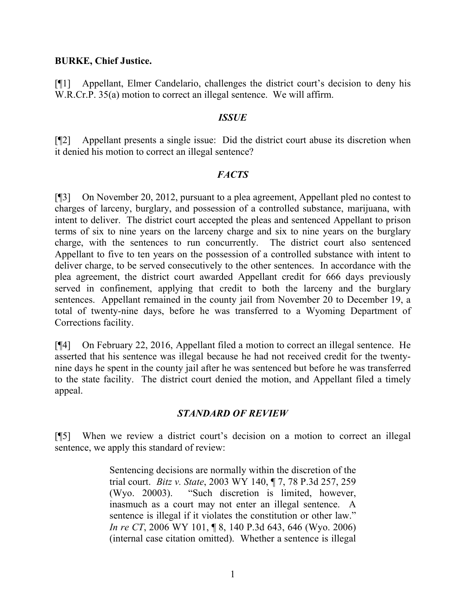#### **BURKE, Chief Justice.**

[¶1] Appellant, Elmer Candelario, challenges the district court's decision to deny his W.R.Cr.P. 35(a) motion to correct an illegal sentence. We will affirm.

### *ISSUE*

[¶2] Appellant presents a single issue: Did the district court abuse its discretion when it denied his motion to correct an illegal sentence?

### *FACTS*

[¶3] On November 20, 2012, pursuant to a plea agreement, Appellant pled no contest to charges of larceny, burglary, and possession of a controlled substance, marijuana, with intent to deliver. The district court accepted the pleas and sentenced Appellant to prison terms of six to nine years on the larceny charge and six to nine years on the burglary charge, with the sentences to run concurrently. The district court also sentenced Appellant to five to ten years on the possession of a controlled substance with intent to deliver charge, to be served consecutively to the other sentences. In accordance with the plea agreement, the district court awarded Appellant credit for 666 days previously served in confinement, applying that credit to both the larceny and the burglary sentences. Appellant remained in the county jail from November 20 to December 19, a total of twenty-nine days, before he was transferred to a Wyoming Department of Corrections facility.

[¶4] On February 22, 2016, Appellant filed a motion to correct an illegal sentence. He asserted that his sentence was illegal because he had not received credit for the twentynine days he spent in the county jail after he was sentenced but before he was transferred to the state facility. The district court denied the motion, and Appellant filed a timely appeal.

### *STANDARD OF REVIEW*

[¶5] When we review a district court's decision on a motion to correct an illegal sentence, we apply this standard of review:

> Sentencing decisions are normally within the discretion of the trial court. *Bitz v. State*, 2003 WY 140, ¶ 7, 78 P.3d 257, 259 (Wyo. 20003). "Such discretion is limited, however, inasmuch as a court may not enter an illegal sentence. A sentence is illegal if it violates the constitution or other law." *In re CT*, 2006 WY 101, ¶ 8, 140 P.3d 643, 646 (Wyo. 2006) (internal case citation omitted). Whether a sentence is illegal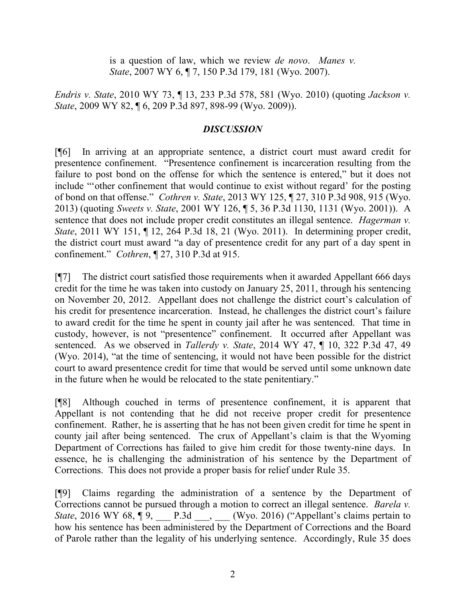is a question of law, which we review *de novo*. *Manes v. State*, 2007 WY 6, ¶ 7, 150 P.3d 179, 181 (Wyo. 2007).

*Endris v. State*, 2010 WY 73, ¶ 13, 233 P.3d 578, 581 (Wyo. 2010) (quoting *Jackson v. State*, 2009 WY 82, ¶ 6, 209 P.3d 897, 898-99 (Wyo. 2009)).

### *DISCUSSION*

[¶6] In arriving at an appropriate sentence, a district court must award credit for presentence confinement. "Presentence confinement is incarceration resulting from the failure to post bond on the offense for which the sentence is entered," but it does not include "'other confinement that would continue to exist without regard' for the posting of bond on that offense." *Cothren v. State*, 2013 WY 125, ¶ 27, 310 P.3d 908, 915 (Wyo. 2013) (quoting *Sweets v. State*, 2001 WY 126, ¶ 5, 36 P.3d 1130, 1131 (Wyo. 2001)). A sentence that does not include proper credit constitutes an illegal sentence. *Hagerman v. State*, 2011 WY 151, ¶ 12, 264 P.3d 18, 21 (Wyo. 2011). In determining proper credit, the district court must award "a day of presentence credit for any part of a day spent in confinement." *Cothren*, ¶ 27, 310 P.3d at 915.

[¶7] The district court satisfied those requirements when it awarded Appellant 666 days credit for the time he was taken into custody on January 25, 2011, through his sentencing on November 20, 2012. Appellant does not challenge the district court's calculation of his credit for presentence incarceration. Instead, he challenges the district court's failure to award credit for the time he spent in county jail after he was sentenced. That time in custody, however, is not "presentence" confinement. It occurred after Appellant was sentenced. As we observed in *Tallerdy v. State*, 2014 WY 47, ¶ 10, 322 P.3d 47, 49 (Wyo. 2014), "at the time of sentencing, it would not have been possible for the district court to award presentence credit for time that would be served until some unknown date in the future when he would be relocated to the state penitentiary."

[¶8] Although couched in terms of presentence confinement, it is apparent that Appellant is not contending that he did not receive proper credit for presentence confinement. Rather, he is asserting that he has not been given credit for time he spent in county jail after being sentenced. The crux of Appellant's claim is that the Wyoming Department of Corrections has failed to give him credit for those twenty-nine days. In essence, he is challenging the administration of his sentence by the Department of Corrections. This does not provide a proper basis for relief under Rule 35.

[¶9] Claims regarding the administration of a sentence by the Department of Corrections cannot be pursued through a motion to correct an illegal sentence. *Barela v. State*, 2016 WY 68,  $\P$ 9, <u>\_\_\_</u> P.3d \_\_\_, \_\_\_ (Wyo. 2016) ("Appellant's claims pertain to how his sentence has been administered by the Department of Corrections and the Board of Parole rather than the legality of his underlying sentence. Accordingly, Rule 35 does